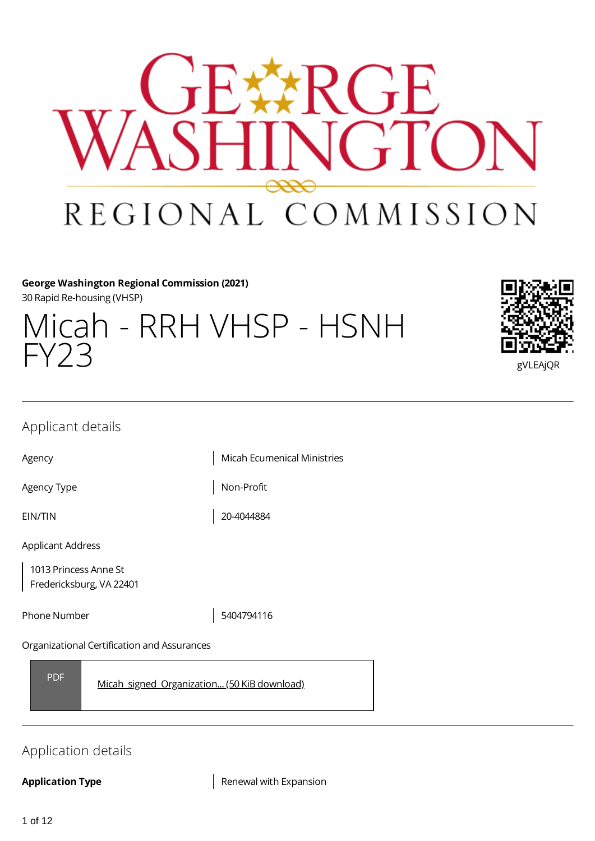

# **George Washington Regional Commission (2021)**

30 Rapid Re-housing (VHSP)

| Micah - RRH VHSP - HSNH<br>FY23 | en.      |
|---------------------------------|----------|
|                                 | gVLEAjQR |



# Applicant details

Agency **Micah Ecumenical Ministries** 

Agency Type  $\vert$  Non-Profit

EIN/TIN 20-4044884

Applicant Address

1013 Princess Anne St Fredericksburg, VA 22401

Phone Number 5404794116

#### Organizational Certification and Assurances

PDF [Micah\\_signed\\_Organization...](https://gwregion.grantplatform.com/r/file/S9FrTyobudSGRtoc) (50 KiB download)

# Application details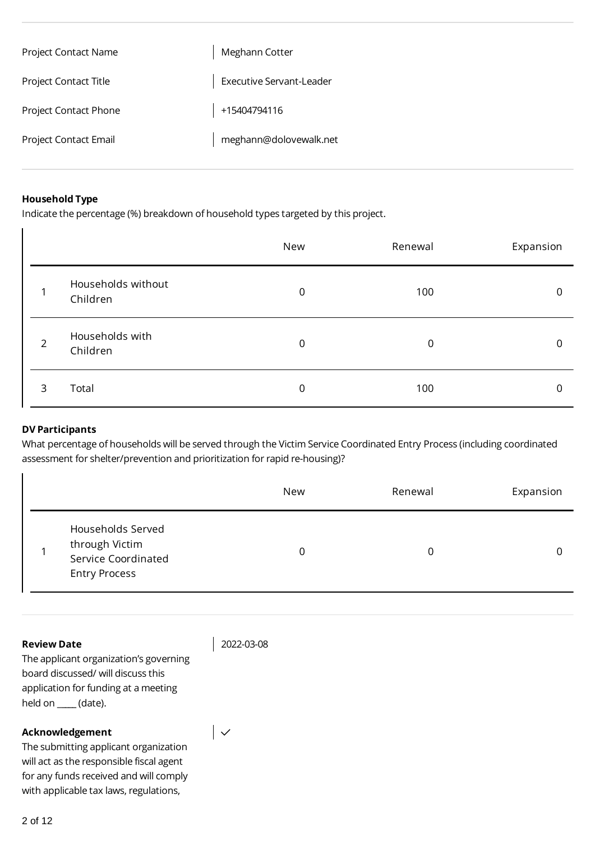| <b>Project Contact Name</b>  | Meghann Cotter           |
|------------------------------|--------------------------|
| <b>Project Contact Title</b> | Executive Servant-Leader |
| <b>Project Contact Phone</b> | +15404794116             |
| Project Contact Email        | meghann@dolovewalk.net   |

#### **Household Type**

Indicate the percentage (%) breakdown of household types targeted by this project.

|                |                                | New | Renewal     | Expansion |
|----------------|--------------------------------|-----|-------------|-----------|
|                | Households without<br>Children | 0   | 100         | 0         |
| $\overline{2}$ | Households with<br>Children    | 0   | $\mathbf 0$ | 0         |
| 3              | Total                          | 0   | 100         | 0         |

#### **DV Participants**

What percentage of households will be served through the Victim Service Coordinated Entry Process (including coordinated assessment for shelter/prevention and prioritization for rapid re-housing)?

|                                                                                    | New | Renewal | Expansion |
|------------------------------------------------------------------------------------|-----|---------|-----------|
| Households Served<br>through Victim<br>Service Coordinated<br><b>Entry Process</b> | 0   | 0       |           |

#### **Review Date**

2022-03-08

 $\vert \downarrow$ 

The applicant organization's governing board discussed/ will discuss this application for funding at a meeting held on \_**\_\_\_\_** (date).

#### **Acknowledgement**

The submitting applicant organization will act as the responsible fiscal agent for any funds received and will comply with applicable tax laws, regulations,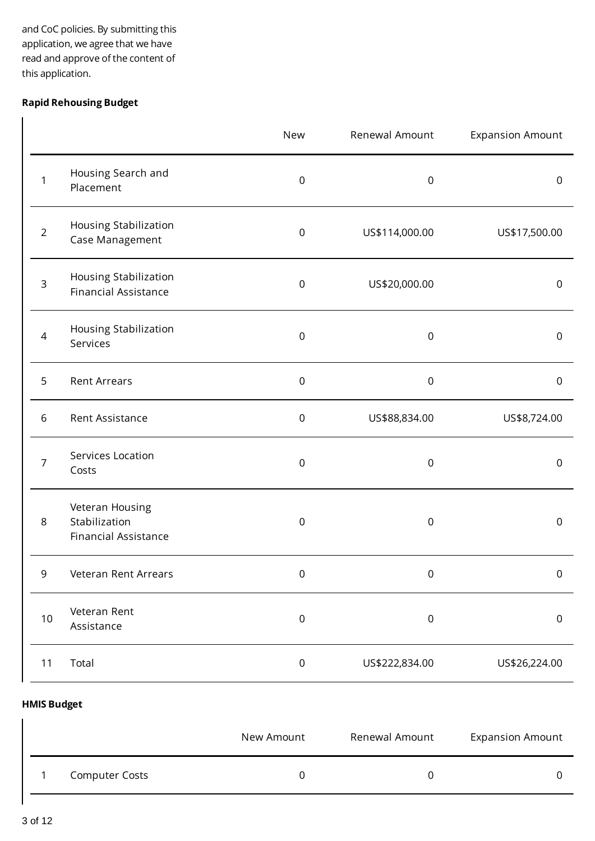and CoC policies. By submitting this application, we agree that we have read and approve of the content of this application.

# **Rapid Rehousing Budget**

|                |                                                                 | New         | Renewal Amount   | <b>Expansion Amount</b> |
|----------------|-----------------------------------------------------------------|-------------|------------------|-------------------------|
| 1              | Housing Search and<br>Placement                                 | $\mathbf 0$ | $\mathsf 0$      | $\mathsf 0$             |
| $\overline{2}$ | Housing Stabilization<br>Case Management                        | $\mathbf 0$ | US\$114,000.00   | US\$17,500.00           |
| 3              | Housing Stabilization<br><b>Financial Assistance</b>            | $\,0\,$     | US\$20,000.00    | $\mathsf 0$             |
| $\overline{4}$ | Housing Stabilization<br>Services                               | $\mathbf 0$ | $\,0\,$          | $\mathsf 0$             |
| 5              | <b>Rent Arrears</b>                                             | $\mathbf 0$ | $\mathbf 0$      | $\mathsf{O}\xspace$     |
| $\sqrt{6}$     | Rent Assistance                                                 | $\mathbf 0$ | US\$88,834.00    | US\$8,724.00            |
| $\overline{7}$ | Services Location<br>Costs                                      | $\,0\,$     | $\mathbf 0$      | $\mathsf 0$             |
| 8              | Veteran Housing<br>Stabilization<br><b>Financial Assistance</b> | $\mathbf 0$ | $\boldsymbol{0}$ | $\mathsf 0$             |
| 9              | Veteran Rent Arrears                                            | 0           | $\boldsymbol{0}$ | $\pmb{0}$               |
| 10             | Veteran Rent<br>Assistance                                      | $\mathsf 0$ | $\mathsf 0$      | $\mathsf 0$             |
| 11             | Total                                                           | $\mathsf 0$ | US\$222,834.00   | US\$26,224.00           |

#### **HMIS Budget**

|                       | New Amount | Renewal Amount | <b>Expansion Amount</b> |
|-----------------------|------------|----------------|-------------------------|
| <b>Computer Costs</b> |            |                |                         |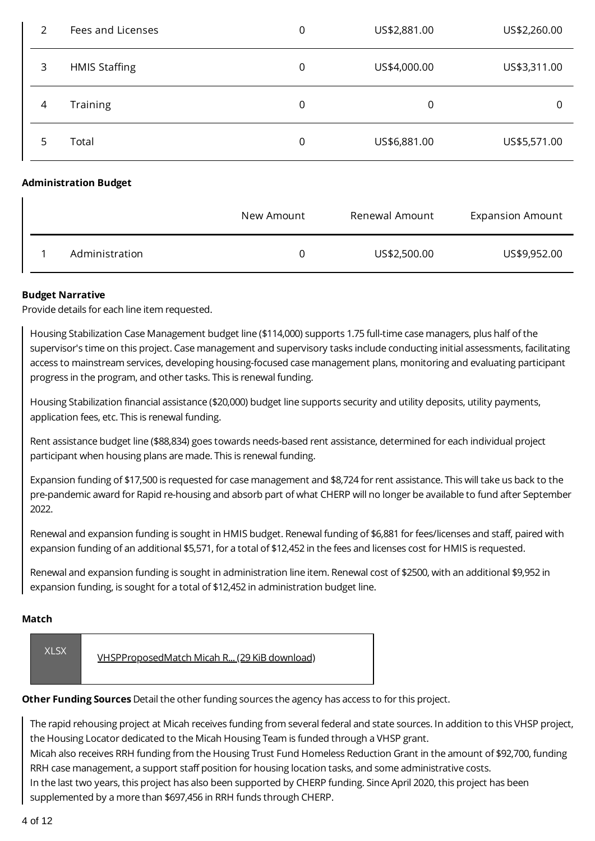| 2 | Fees and Licenses            | $\mathbf 0$ | US\$2,881.00   | US\$2,260.00            |
|---|------------------------------|-------------|----------------|-------------------------|
| 3 | <b>HMIS Staffing</b>         | 0           | US\$4,000.00   | US\$3,311.00            |
| 4 | Training                     | $\mathbf 0$ | $\mathbf 0$    | 0                       |
| 5 | Total                        | $\mathbf 0$ | US\$6,881.00   | US\$5,571.00            |
|   | <b>Administration Budget</b> |             |                |                         |
|   |                              | New Amount  | Renewal Amount | <b>Expansion Amount</b> |
|   | Administration               | 0           | US\$2,500.00   | US\$9,952.00            |

### **Budget Narrative**

Provide details for each line item requested.

Housing Stabilization Case Management budget line (\$114,000) supports 1.75 full-time case managers, plus half of the supervisor's time on this project. Case management and supervisory tasks include conducting initial assessments, facilitating access to mainstream services, developing housing-focused case management plans, monitoring and evaluating participant progress in the program, and other tasks. This is renewal funding.

Housing Stabilization financial assistance (\$20,000) budget line supports security and utility deposits, utility payments, application fees, etc. This is renewal funding.

Rent assistance budget line (\$88,834) goes towards needs-based rent assistance, determined for each individual project participant when housing plans are made. This is renewal funding.

Expansion funding of \$17,500 is requested for case management and \$8,724 for rent assistance. This will take us back to the pre-pandemic award for Rapid re-housing and absorb part of what CHERP will no longer be available to fund after September 2022.

Renewal and expansion funding is sought in HMIS budget. Renewal funding of \$6,881 for fees/licenses and staff, paired with expansion funding of an additional \$5,571, for a total of \$12,452 in the fees and licenses cost for HMIS is requested.

Renewal and expansion funding is sought in administration line item. Renewal cost of \$2500, with an additional \$9,952 in expansion funding, is sought for a total of \$12,452 in administration budget line.

#### **Match**

| <b>XLSX</b> | VHSPProposedMatch Micah R (29 KiB download) |
|-------------|---------------------------------------------|
|-------------|---------------------------------------------|

**Other Funding Sources** Detail the other funding sources the agency has access to for this project.

The rapid rehousing project at Micah receives funding from several federal and state sources. In addition to this VHSP project, the Housing Locator dedicated to the Micah Housing Team is funded through a VHSP grant.

Micah also receives RRH funding from the Housing Trust Fund Homeless Reduction Grant in the amount of \$92,700, funding RRH case management, a support staff position for housing location tasks, and some administrative costs.

In the last two years, this project has also been supported by CHERP funding. Since April 2020, this project has been supplemented by a more than \$697,456 in RRH funds through CHERP.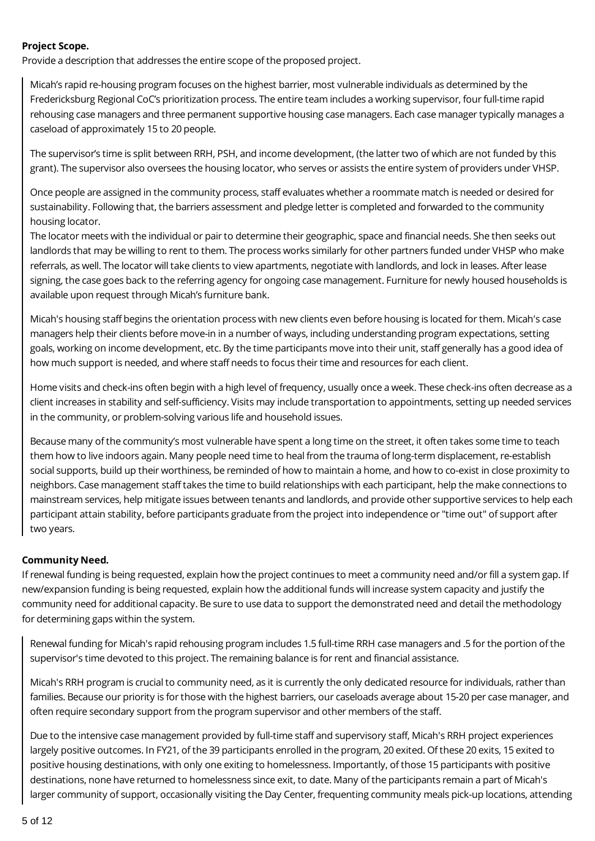#### **Project Scope.**

Provide a description that addresses the entire scope of the proposed project.

Micah's rapid re-housing program focuses on the highest barrier, most vulnerable individuals as determined by the Fredericksburg Regional CoC's prioritization process. The entire team includes a working supervisor, four full-time rapid rehousing case managers and three permanent supportive housing case managers. Each case manager typically manages a caseload of approximately 15 to 20 people.

The supervisor's time is split between RRH, PSH, and income development, (the latter two of which are not funded by this grant). The supervisor also oversees the housing locator, who serves or assists the entire system of providers under VHSP.

Once people are assigned in the community process, staff evaluates whether a roommate match is needed or desired for sustainability. Following that, the barriers assessment and pledge letter is completed and forwarded to the community housing locator.

The locator meets with the individual or pair to determine their geographic, space and financial needs. She then seeks out landlords that may be willing to rent to them. The process works similarly for other partners funded under VHSP who make referrals, as well. The locator will take clients to view apartments, negotiate with landlords, and lock in leases. After lease signing, the case goes back to the referring agency for ongoing case management. Furniture for newly housed households is available upon request through Micah's furniture bank.

Micah's housing staff begins the orientation process with new clients even before housing is located for them. Micah's case managers help their clients before move-in in a number of ways, including understanding program expectations, setting goals, working on income development, etc. By the time participants move into their unit, staff generally has a good idea of how much support is needed, and where staff needs to focus their time and resources for each client.

Home visits and check-ins often begin with a high level of frequency, usually once a week. These check-ins often decrease as a client increases in stability and self-sufficiency. Visits may include transportation to appointments, setting up needed services in the community, or problem-solving various life and household issues.

Because many of the community's most vulnerable have spent a long time on the street, it often takes some time to teach them how to live indoors again. Many people need time to heal from the trauma of long-term displacement, re-establish social supports, build up their worthiness, be reminded of how to maintain a home, and how to co-exist in close proximity to neighbors. Case management staff takes the time to build relationships with each participant, help the make connections to mainstream services, help mitigate issues between tenants and landlords, and provide other supportive services to help each participant attain stability, before participants graduate from the project into independence or "time out" of support after two years.

#### **Community Need.**

If renewal funding is being requested, explain how the project continues to meet a community need and/or fill a system gap. If new/expansion funding is being requested, explain how the additional funds will increase system capacity and justify the community need for additional capacity. Be sure to use data to support the demonstrated need and detail the methodology for determining gaps within the system.

Renewal funding for Micah's rapid rehousing program includes 1.5 full-time RRH case managers and .5 for the portion of the supervisor's time devoted to this project. The remaining balance is for rent and financial assistance.

Micah's RRH program is crucial to community need, as it is currently the only dedicated resource for individuals, rather than families. Because our priority is for those with the highest barriers, our caseloads average about 15-20 per case manager, and often require secondary support from the program supervisor and other members of the staff.

Due to the intensive case management provided by full-time staff and supervisory staff, Micah's RRH project experiences largely positive outcomes. In FY21, of the 39 participants enrolled in the program, 20 exited. Of these 20 exits, 15 exited to positive housing destinations, with only one exiting to homelessness. Importantly, of those 15 participants with positive destinations, none have returned to homelessness since exit, to date. Many of the participants remain a part of Micah's larger community of support, occasionally visiting the Day Center, frequenting community meals pick-up locations, attending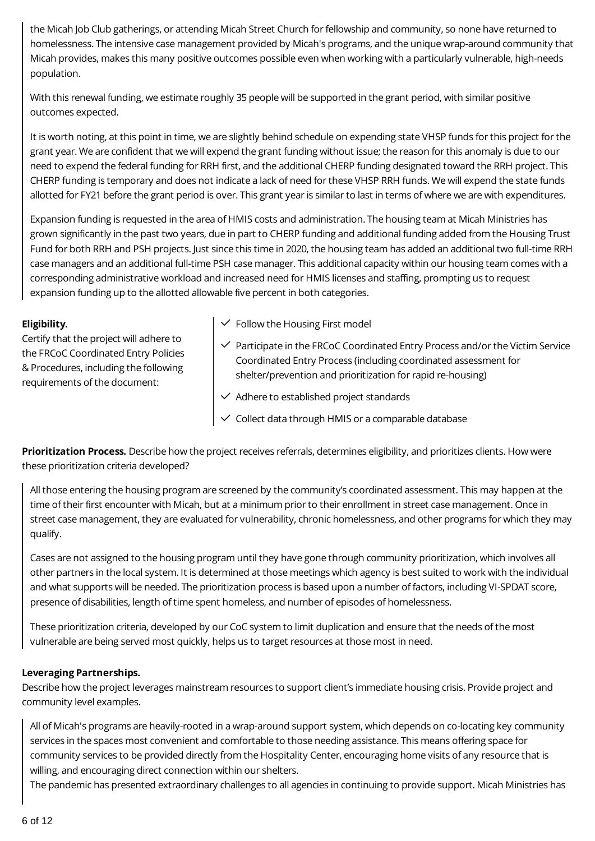the Micah Job Club gatherings, or attending Micah Street Church for fellowship and community, so none have returned to homelessness. The intensive case management provided by Micah's programs, and the unique wrap-around community that Micah provides, makes this many positive outcomes possible even when working with a particularly vulnerable, high-needs population.

With this renewal funding, we estimate roughly 35 people will be supported in the grant period, with similar positive outcomes expected.

It is worth noting, at this point in time, we are slightly behind schedule on expending state VHSP funds for this project for the grant year. We are confident that we will expend the grant funding without issue; the reason for this anomaly is due to our need to expend the federal funding for RRH first, and the additional CHERP funding designated toward the RRH project. This CHERP funding is temporary and does not indicate a lack of need for these VHSP RRH funds. We will expend the state funds allotted for FY21 before the grant period is over. This grant year is similar to last in terms of where we are with expenditures.

Expansion funding is requested in the area of HMIS costs and administration. The housing team at Micah Ministries has grown significantly in the past two years, due in part to CHERP funding and additional funding added from the Housing Trust Fund for both RRH and PSH projects. Just since this time in 2020, the housing team has added an additional two full-time RRH case managers and an additional full-time PSH case manager. This additional capacity within our housing team comes with a corresponding administrative workload and increased need for HMIS licenses and staffing, prompting us to request expansion funding up to the allotted allowable five percent in both categories.

#### **Eligibility.**

Certify that the project will adhere to the FRCoC Coordinated Entry Policies & Procedures, including the following requirements of the document:

- $\checkmark$  Follow the Housing First model
- $\checkmark$  Participate in the FRCoC Coordinated Entry Process and/or the Victim Service Coordinated Entry Process (including coordinated assessment for shelter/prevention and prioritization for rapid re-housing)
- $\vee$  Adhere to established project standards
- $\vee$  Collect data through HMIS or a comparable database

**Prioritization Process.** Describe how the project receives referrals, determines eligibility, and prioritizes clients. How were these prioritization criteria developed?

All those entering the housing program are screened by the community's coordinated assessment. This may happen at the time of their first encounter with Micah, but at a minimum prior to their enrollment in street case management. Once in street case management, they are evaluated for vulnerability, chronic homelessness, and other programs for which they may qualify.

Cases are not assigned to the housing program until they have gone through community prioritization, which involves all other partners in the local system. It is determined at those meetings which agency is best suited to work with the individual and what supports will be needed. The prioritization process is based upon a number of factors, including VI-SPDAT score, presence of disabilities, length of time spent homeless, and number of episodes of homelessness.

These prioritization criteria, developed by our CoC system to limit duplication and ensure that the needs of the most vulnerable are being served most quickly, helps us to target resources at those most in need.

# **Leveraging Partnerships.**

Describe how the project leverages mainstream resources to support client's immediate housing crisis. Provide project and community level examples.

All of Micah's programs are heavily-rooted in a wrap-around support system, which depends on co-locating key community services in the spaces most convenient and comfortable to those needing assistance. This means offering space for community services to be provided directly from the Hospitality Center, encouraging home visits of any resource that is willing, and encouraging direct connection within our shelters.

The pandemic has presented extraordinary challenges to all agencies in continuing to provide support. Micah Ministries has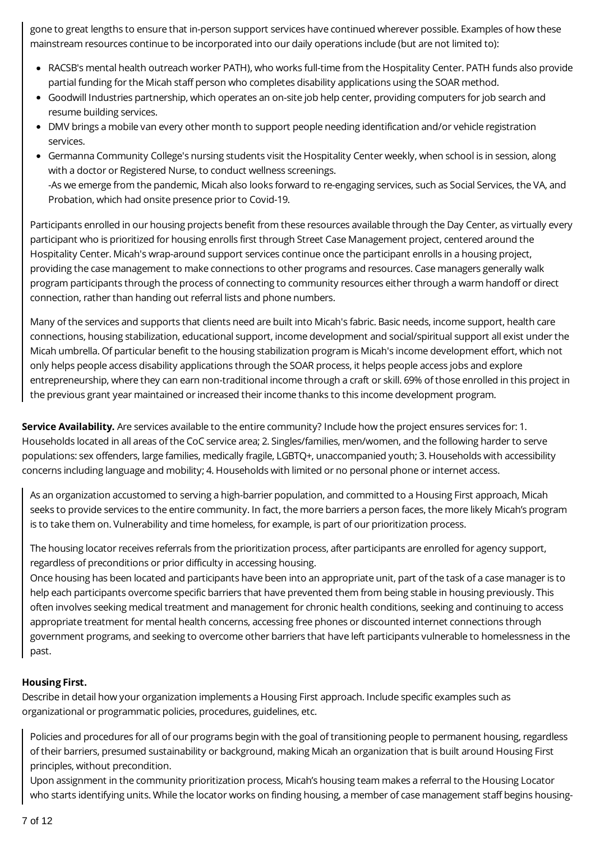gone to great lengths to ensure that in-person support services have continued wherever possible. Examples of how these mainstream resources continue to be incorporated into our daily operations include (but are not limited to):

- RACSB's mental health outreach worker PATH), who works full-time from the Hospitality Center. PATH funds also provide partial funding for the Micah staff person who completes disability applications using the SOAR method.
- Goodwill Industries partnership, which operates an on-site job help center, providing computers for job search and resume building services.
- DMV brings a mobile van every other month to support people needing identification and/or vehicle registration services.
- Germanna Community College's nursing students visit the Hospitality Center weekly, when school is in session, along with a doctor or Registered Nurse, to conduct wellness screenings. -As we emerge from the pandemic, Micah also looks forward to re-engaging services, such as Social Services, the VA, and Probation, which had onsite presence prior to Covid-19.

Participants enrolled in our housing projects benefit from these resources available through the Day Center, as virtually every participant who is prioritized for housing enrolls first through Street Case Management project, centered around the Hospitality Center. Micah's wrap-around support services continue once the participant enrolls in a housing project, providing the case management to make connections to other programs and resources. Case managers generally walk program participants through the process of connecting to community resources either through a warm handoff or direct connection, rather than handing out referral lists and phone numbers.

Many of the services and supports that clients need are built into Micah's fabric. Basic needs, income support, health care connections, housing stabilization, educational support, income development and social/spiritual support all exist under the Micah umbrella. Of particular benefit to the housing stabilization program is Micah's income development effort, which not only helps people access disability applications through the SOAR process, it helps people access jobs and explore entrepreneurship, where they can earn non-traditional income through a craft or skill. 69% of those enrolled in this project in the previous grant year maintained or increased their income thanks to this income development program.

**Service Availability.** Are services available to the entire community? Include how the project ensures services for: 1. Households located in all areas of the CoC service area; 2. Singles/families, men/women, and the following harder to serve populations: sex offenders, large families, medically fragile, LGBTQ+, unaccompanied youth; 3. Households with accessibility concerns including language and mobility; 4. Households with limited or no personal phone or internet access.

As an organization accustomed to serving a high-barrier population, and committed to a Housing First approach, Micah seeks to provide services to the entire community. In fact, the more barriers a person faces, the more likely Micah's program is to take them on. Vulnerability and time homeless, for example, is part of our prioritization process.

The housing locator receives referrals from the prioritization process, after participants are enrolled for agency support, regardless of preconditions or prior difficulty in accessing housing.

Once housing has been located and participants have been into an appropriate unit, part of the task of a case manager is to help each participants overcome specific barriers that have prevented them from being stable in housing previously. This often involves seeking medical treatment and management for chronic health conditions, seeking and continuing to access appropriate treatment for mental health concerns, accessing free phones or discounted internet connections through government programs, and seeking to overcome other barriers that have left participants vulnerable to homelessness in the past.

# **Housing First.**

Describe in detail how your organization implements a Housing First approach. Include specific examples such as organizational or programmatic policies, procedures, guidelines, etc.

Policies and procedures for all of our programs begin with the goal of transitioning people to permanent housing, regardless of their barriers, presumed sustainability or background, making Micah an organization that is built around Housing First principles, without precondition.

Upon assignment in the community prioritization process, Micah's housing team makes a referral to the Housing Locator who starts identifying units. While the locator works on finding housing, a member of case management staff begins housing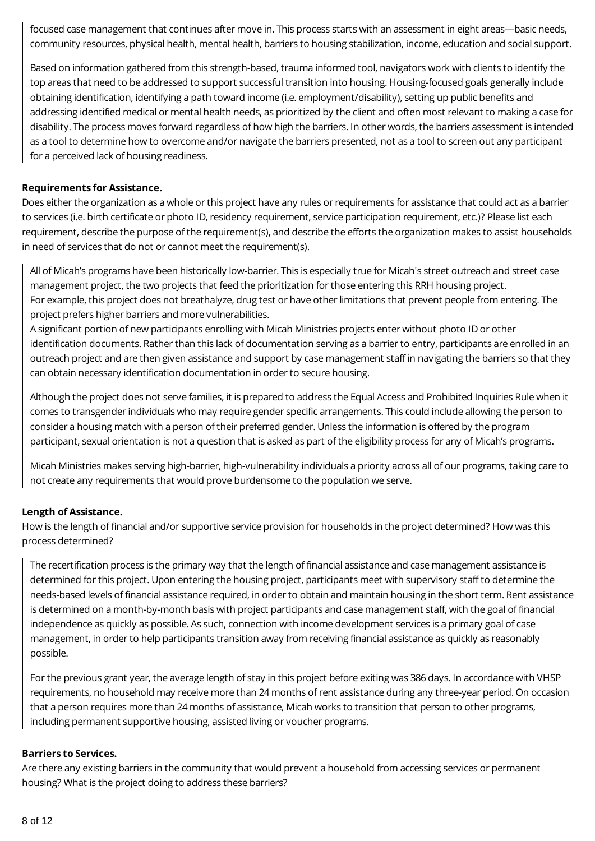focused case management that continues after move in. This process starts with an assessment in eight areas—basic needs, community resources, physical health, mental health, barriers to housing stabilization, income, education and social support.

Based on information gathered from this strength-based, trauma informed tool, navigators work with clients to identify the top areas that need to be addressed to support successful transition into housing. Housing-focused goals generally include obtaining identification, identifying a path toward income (i.e. employment/disability), setting up public benefits and addressing identified medical or mental health needs, as prioritized by the client and often most relevant to making a case for disability. The process moves forward regardless of how high the barriers. In other words, the barriers assessment is intended as a tool to determine how to overcome and/or navigate the barriers presented, not as a tool to screen out any participant for a perceived lack of housing readiness.

#### **Requirements for Assistance.**

Does either the organization as a whole or this project have any rules or requirements for assistance that could act as a barrier to services (i.e. birth certificate or photo ID, residency requirement, service participation requirement, etc.)? Please list each requirement, describe the purpose of the requirement(s), and describe the efforts the organization makes to assist households in need of services that do not or cannot meet the requirement(s).

All of Micah's programs have been historically low-barrier. This is especially true for Micah's street outreach and street case management project, the two projects that feed the prioritization for those entering this RRH housing project. For example, this project does not breathalyze, drug test or have other limitations that prevent people from entering. The project prefers higher barriers and more vulnerabilities.

A significant portion of new participants enrolling with Micah Ministries projects enter without photo ID or other identification documents. Rather than this lack of documentation serving as a barrier to entry, participants are enrolled in an outreach project and are then given assistance and support by case management staff in navigating the barriers so that they can obtain necessary identification documentation in order to secure housing.

Although the project does not serve families, it is prepared to address the Equal Access and Prohibited Inquiries Rule when it comes to transgender individuals who may require gender specific arrangements. This could include allowing the person to consider a housing match with a person of their preferred gender. Unless the information is offered by the program participant, sexual orientation is not a question that is asked as part of the eligibility process for any of Micah's programs.

Micah Ministries makes serving high-barrier, high-vulnerability individuals a priority across all of our programs, taking care to not create any requirements that would prove burdensome to the population we serve.

#### **Length of Assistance.**

How is the length of financial and/or supportive service provision for households in the project determined? How was this process determined?

The recertification process is the primary way that the length of financial assistance and case management assistance is determined for this project. Upon entering the housing project, participants meet with supervisory staff to determine the needs-based levels of financial assistance required, in order to obtain and maintain housing in the short term. Rent assistance is determined on a month-by-month basis with project participants and case management staff, with the goal of financial independence as quickly as possible. As such, connection with income development services is a primary goal of case management, in order to help participants transition away from receiving financial assistance as quickly as reasonably possible.

For the previous grant year, the average length of stay in this project before exiting was 386 days. In accordance with VHSP requirements, no household may receive more than 24 months of rent assistance during any three-year period. On occasion that a person requires more than 24 months of assistance, Micah works to transition that person to other programs, including permanent supportive housing, assisted living or voucher programs.

#### **Barriers to Services.**

Are there any existing barriers in the community that would prevent a household from accessing services or permanent housing? What is the project doing to address these barriers?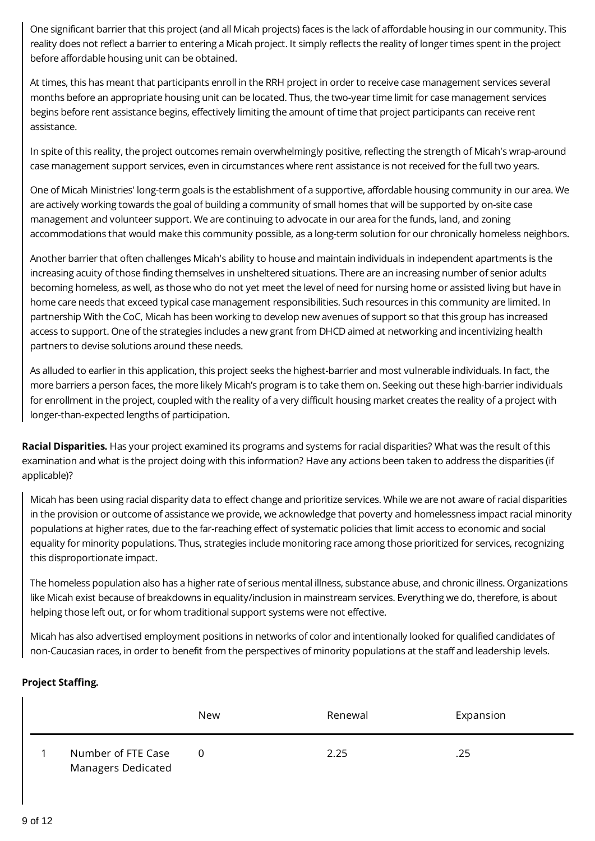One significant barrier that this project (and all Micah projects) faces is the lack of affordable housing in our community. This reality does not reflect a barrier to entering a Micah project. It simply reflects the reality of longer times spent in the project before affordable housing unit can be obtained.

At times, this has meant that participants enroll in the RRH project in order to receive case management services several months before an appropriate housing unit can be located. Thus, the two-year time limit for case management services begins before rent assistance begins, effectively limiting the amount of time that project participants can receive rent assistance.

In spite of this reality, the project outcomes remain overwhelmingly positive, reflecting the strength of Micah's wrap-around case management support services, even in circumstances where rent assistance is not received for the full two years.

One of Micah Ministries' long-term goals is the establishment of a supportive, affordable housing community in our area. We are actively working towards the goal of building a community of small homes that will be supported by on-site case management and volunteer support. We are continuing to advocate in our area for the funds, land, and zoning accommodations that would make this community possible, as a long-term solution for our chronically homeless neighbors.

Another barrier that often challenges Micah's ability to house and maintain individuals in independent apartments is the increasing acuity of those finding themselves in unsheltered situations. There are an increasing number of senior adults becoming homeless, as well, as those who do not yet meet the level of need for nursing home or assisted living but have in home care needs that exceed typical case management responsibilities. Such resources in this community are limited. In partnership With the CoC, Micah has been working to develop new avenues of support so that this group has increased access to support. One of the strategies includes a new grant from DHCD aimed at networking and incentivizing health partners to devise solutions around these needs.

As alluded to earlier in this application, this project seeks the highest-barrier and most vulnerable individuals. In fact, the more barriers a person faces, the more likely Micah's program is to take them on. Seeking out these high-barrier individuals for enrollment in the project, coupled with the reality of a very difficult housing market creates the reality of a project with longer-than-expected lengths of participation.

**Racial Disparities.** Has your project examined its programs and systems for racial disparities? What was the result of this examination and what is the project doing with this information? Have any actions been taken to address the disparities (if applicable)?

Micah has been using racial disparity data to effect change and prioritize services. While we are not aware of racial disparities in the provision or outcome of assistance we provide, we acknowledge that poverty and homelessness impact racial minority populations at higher rates, due to the far-reaching effect of systematic policies that limit access to economic and social equality for minority populations. Thus, strategies include monitoring race among those prioritized for services, recognizing this disproportionate impact.

The homeless population also has a higher rate of serious mental illness, substance abuse, and chronic illness. Organizations like Micah exist because of breakdowns in equality/inclusion in mainstream services. Everything we do, therefore, is about helping those left out, or for whom traditional support systems were not effective.

Micah has also advertised employment positions in networks of color and intentionally looked for qualified candidates of non-Caucasian races, in order to benefit from the perspectives of minority populations at the staff and leadership levels.

# **Project Staffing.**

|                                                 | New          | Renewal | Expansion |
|-------------------------------------------------|--------------|---------|-----------|
| Number of FTE Case<br><b>Managers Dedicated</b> | <sup>0</sup> | 2.25    | .25       |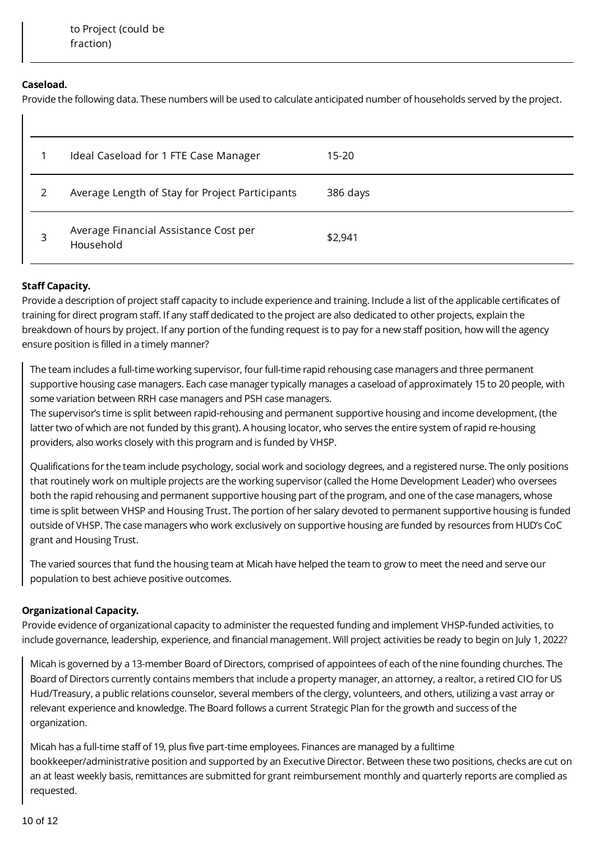### **Caseload.**

Provide the following data. These numbers will be used to calculate anticipated number of households served by the project.

|   | Ideal Caseload for 1 FTE Case Manager              | 15-20    |
|---|----------------------------------------------------|----------|
|   | Average Length of Stay for Project Participants    | 386 days |
| 3 | Average Financial Assistance Cost per<br>Household | \$2,941  |

# **Staff Capacity.**

Provide a description of project staff capacity to include experience and training. Include a list of the applicable certificates of training for direct program staff. If any staff dedicated to the project are also dedicated to other projects, explain the breakdown of hours by project. If any portion of the funding request is to pay for a new staff position, how will the agency ensure position is filled in a timely manner?

The team includes a full-time working supervisor, four full-time rapid rehousing case managers and three permanent supportive housing case managers. Each case manager typically manages a caseload of approximately 15 to 20 people, with some variation between RRH case managers and PSH case managers.

The supervisor's time is split between rapid-rehousing and permanent supportive housing and income development, (the latter two of which are not funded by this grant). A housing locator, who serves the entire system of rapid re-housing providers, also works closely with this program and is funded by VHSP.

Qualifications for the team include psychology, social work and sociology degrees, and a registered nurse. The only positions that routinely work on multiple projects are the working supervisor (called the Home Development Leader) who oversees both the rapid rehousing and permanent supportive housing part of the program, and one of the case managers, whose time is split between VHSP and Housing Trust. The portion of her salary devoted to permanent supportive housing is funded outside of VHSP. The case managers who work exclusively on supportive housing are funded by resources from HUD's CoC grant and Housing Trust.

The varied sources that fund the housing team at Micah have helped the team to grow to meet the need and serve our population to best achieve positive outcomes.

# **Organizational Capacity.**

Provide evidence of organizational capacity to administer the requested funding and implement VHSP-funded activities, to include governance, leadership, experience, and financial management. Will project activities be ready to begin on July 1, 2022?

Micah is governed by a 13-member Board of Directors, comprised of appointees of each of the nine founding churches. The Board of Directors currently contains members that include a property manager, an attorney, a realtor, a retired CIO for US Hud/Treasury, a public relations counselor, several members of the clergy, volunteers, and others, utilizing a vast array or relevant experience and knowledge. The Board follows a current Strategic Plan for the growth and success of the organization.

Micah has a full-time staff of 19, plus five part-time employees. Finances are managed by a fulltime bookkeeper/administrative position and supported by an Executive Director. Between these two positions, checks are cut on an at least weekly basis, remittances are submitted for grant reimbursement monthly and quarterly reports are complied as requested.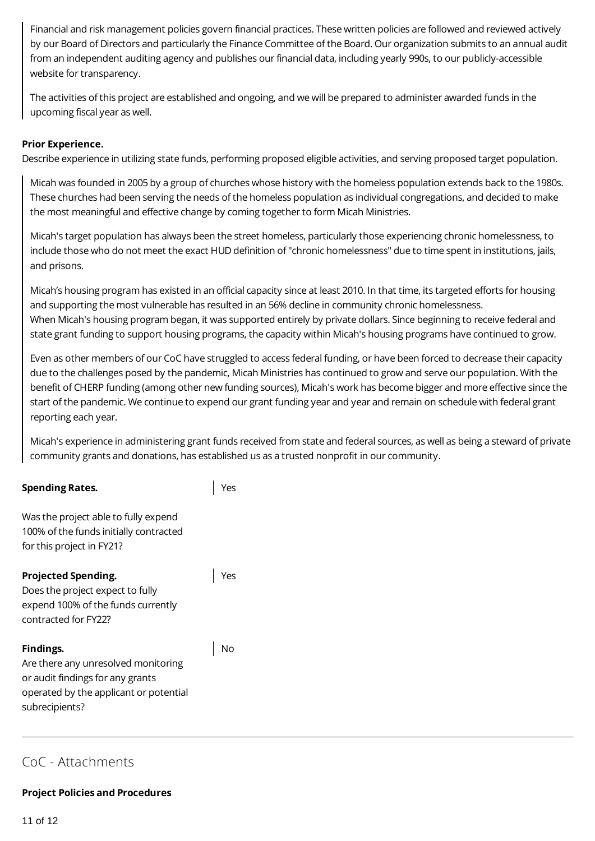Financial and risk management policies govern financial practices. These written policies are followed and reviewed actively by our Board of Directors and particularly the Finance Committee of the Board. Our organization submits to an annual audit from an independent auditing agency and publishes our financial data, including yearly 990s, to our publicly-accessible website for transparency.

The activities of this project are established and ongoing, and we will be prepared to administer awarded funds in the upcoming fiscal year as well.

### **Prior Experience.**

Describe experience in utilizing state funds, performing proposed eligible activities, and serving proposed target population.

Micah was founded in 2005 by a group of churches whose history with the homeless population extends back to the 1980s. These churches had been serving the needs of the homeless population as individual congregations, and decided to make the most meaningful and effective change by coming together to form Micah Ministries.

Micah's target population has always been the street homeless, particularly those experiencing chronic homelessness, to include those who do not meet the exact HUD definition of "chronic homelessness" due to time spent in institutions, jails, and prisons.

Micah's housing program has existed in an official capacity since at least 2010. In that time, its targeted efforts for housing and supporting the most vulnerable has resulted in an 56% decline in community chronic homelessness. When Micah's housing program began, it was supported entirely by private dollars. Since beginning to receive federal and state grant funding to support housing programs, the capacity within Micah's housing programs have continued to grow.

Even as other members of our CoC have struggled to access federal funding, or have been forced to decrease their capacity due to the challenges posed by the pandemic, Micah Ministries has continued to grow and serve our population. With the benefit of CHERP funding (among other new funding sources), Micah's work has become bigger and more effective since the start of the pandemic. We continue to expend our grant funding year and year and remain on schedule with federal grant reporting each year.

Micah's experience in administering grant funds received from state and federal sources, as well as being a steward of private community grants and donations, has established us as a trusted nonprofit in our community.

| <b>Spending Rates.</b>                                                                                                                           |     |
|--------------------------------------------------------------------------------------------------------------------------------------------------|-----|
| Was the project able to fully expend<br>100% of the funds initially contracted<br>for this project in FY21?                                      |     |
| <b>Projected Spending.</b><br>Does the project expect to fully<br>expend 100% of the funds currently<br>contracted for FY22?                     | Yes |
| Findings.<br>Are there any unresolved monitoring<br>or audit findings for any grants<br>operated by the applicant or potential<br>subrecipients? |     |

# CoC - Attachments

#### **Project Policies and Procedures**